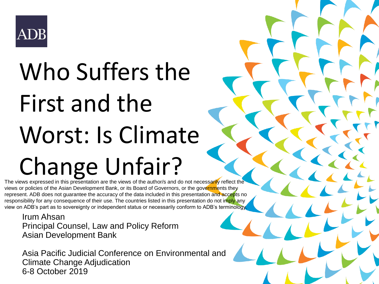#### ADB

## Who Suffers the First and the Worst: Is Climate Change Unfair?

The views expressed in this presentation are the views of the author/s and do not necessarily reflect the views or policies of the Asian Development Bank, or its Board of Governors, or the governments they represent. ADB does not guarantee the accuracy of the data included in this presentation and accepts no responsibility for any consequence of their use. The countries listed in this presentation do not imply any view on ADB's part as to sovereignty or independent status or necessarily conform to ADB's terminology.

Irum Ahsan Principal Counsel, Law and Policy Reform Asian Development Bank

Asia Pacific Judicial Conference on Environmental and Climate Change Adjudication 6-8 October 2019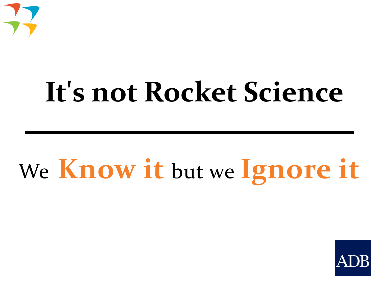

## It's not Rocket Science

## We **Know it** but we **Ignore it**

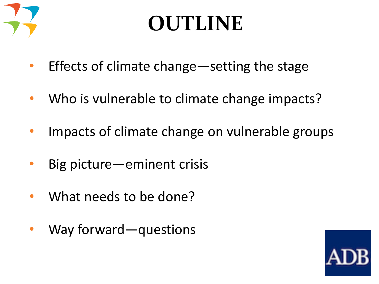

### **OUTLINE**

- Effects of climate change—setting the stage
- Who is vulnerable to climate change impacts?
- Impacts of climate change on vulnerable groups
- Big picture—eminent crisis
- What needs to be done?
- Way forward—questions

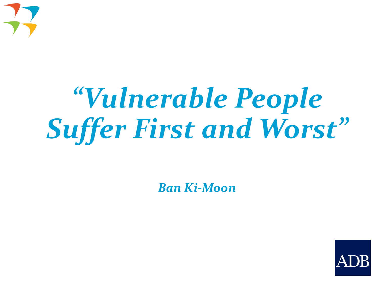

## *"Vulnerable People Suffer First and Worst"*

*Ban Ki-Moon*

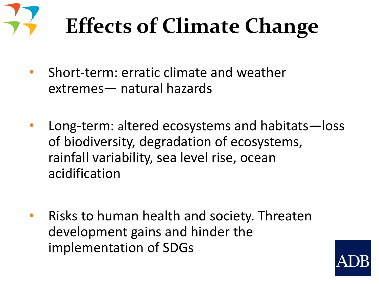

## **Effects of Climate Change**

- Short-term: erratic climate and weather extremes— natural hazards
- Long-term: altered ecosystems and habitats—loss of biodiversity, degradation of ecosystems, rainfall variability, sea level rise, ocean acidification
- Risks to human health and society. Threaten development gains and hinder the implementation of SDGs

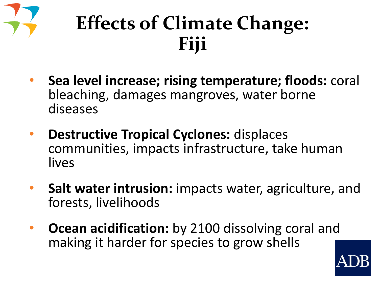

### **Effects of Climate Change: Fiji**

- **Sea level increase; rising temperature; floods:** coral bleaching, damages mangroves, water borne diseases
- **Destructive Tropical Cyclones:** displaces communities, impacts infrastructure, take human lives
- **Salt water intrusion:** impacts water, agriculture, and forests, livelihoods
- **Ocean acidification:** by 2100 dissolving coral and making it harder for species to grow shells

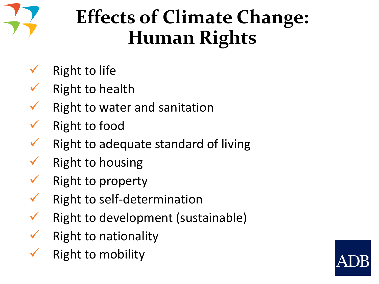

### **Effects of Climate Change: Human Rights**

- **Right to life**
- **Right to health**
- Right to water and sanitation
- Right to food
- Right to adequate standard of living
- **Right to housing**
- Right to property
- Right to self-determination
- Right to development (sustainable)
- **Right to nationality**
- **Right to mobility**

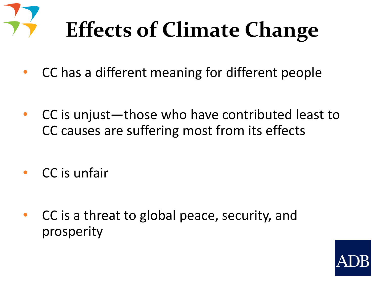

- CC has a different meaning for different people
- CC is unjust—those who have contributed least to CC causes are suffering most from its effects
- CC is unfair
- CC is a threat to global peace, security, and prosperity

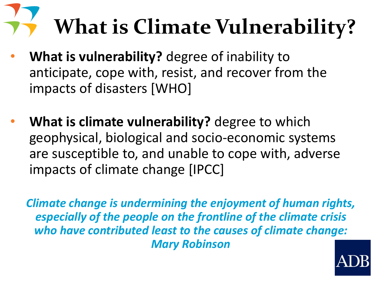# **What is Climate Vulnerability?**

- **What is vulnerability?** degree of inability to anticipate, cope with, resist, and recover from the impacts of disasters [WHO]
- **What is climate vulnerability?** degree to which geophysical, biological and socio-economic systems are susceptible to, and unable to cope with, adverse impacts of climate change [IPCC]

*Climate change is undermining the enjoyment of human rights, especially of the people on the frontline of the climate crisis who have contributed least to the causes of climate change: Mary Robinson*

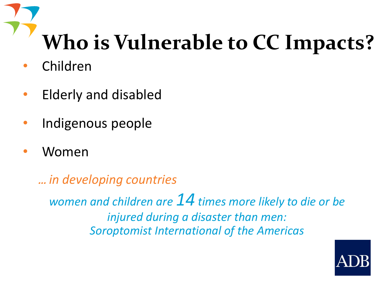## **Who is Vulnerable to CC Impacts?**

- Children
- Elderly and disabled
- Indigenous people
- Women

… *in developing countries*

*women and children are 14 times more likely to die or be injured during a disaster than men: Soroptomist International of the Americas*

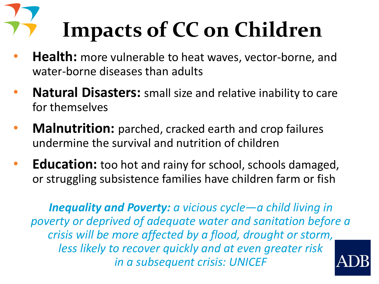# **Impacts of CC on Children**

- **Health:** more vulnerable to heat waves, vector-borne, and water-borne diseases than adults
- **Natural Disasters:** small size and relative inability to care for themselves
- **Malnutrition:** parched, cracked earth and crop failures undermine the survival and nutrition of children
- **Education:** too hot and rainy for school, schools damaged, or struggling subsistence families have children farm or fish

*Inequality and Poverty: a vicious cycle*—*a child living in poverty or deprived of adequate water and sanitation before a crisis will be more affected by a flood, drought or storm, less likely to recover quickly and at even greater risk in a subsequent crisis: UNICEF*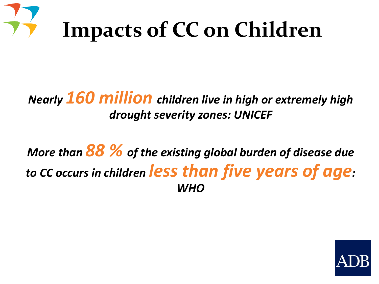

#### *Nearly 160 million children live in high or extremely high drought severity zones: UNICEF*

*More than 88 % of the existing global burden of disease due to CC occurs in children less than five years of age: WHO*

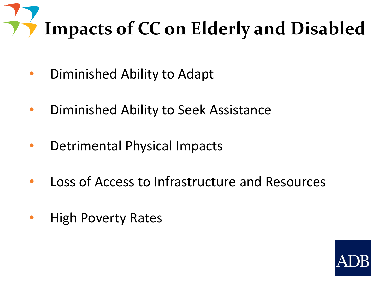

- Diminished Ability to Adapt
- Diminished Ability to Seek Assistance
- Detrimental Physical Impacts
- Loss of Access to Infrastructure and Resources
- High Poverty Rates

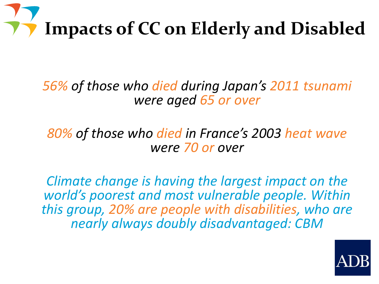

*56% of those who died during Japan's 2011 tsunami were aged 65 or over* 

*80% of those who died in France's 2003 heat wave were 70 or over*

*Climate change is having the largest impact on the world's poorest and most vulnerable people. Within this group, 20% are people with disabilities, who are nearly always doubly disadvantaged: CBM*

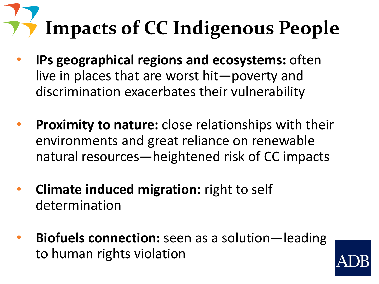# **Impacts of CC Indigenous People**

- **IPs geographical regions and ecosystems:** often live in places that are worst hit—poverty and discrimination exacerbates their vulnerability
- **Proximity to nature:** close relationships with their environments and great reliance on renewable natural resources—heightened risk of CC impacts
- **Climate induced migration:** right to self determination
- **Biofuels connection:** seen as a solution—leading to human rights violation

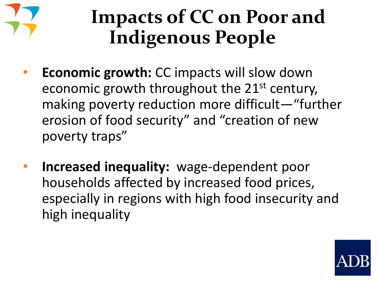

### **Impacts of CC on Poor and Indigenous People**

- **Economic growth:** CC impacts will slow down economic growth throughout the 21st century, making poverty reduction more difficult—"further erosion of food security" and "creation of new poverty traps"
- **Increased inequality:** wage-dependent poor households affected by increased food prices, especially in regions with high food insecurity and high inequality

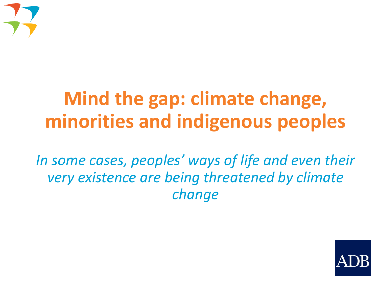

### **Mind the gap: climate change, minorities and indigenous peoples**

*In some cases, peoples' ways of life and even their very existence are being threatened by climate change*

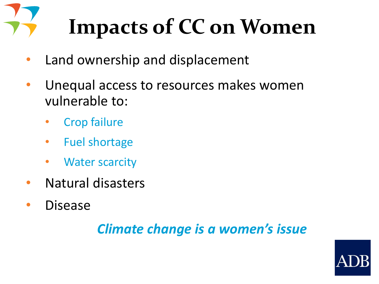## **Impacts of CC on Women**

- Land ownership and displacement
- Unequal access to resources makes women vulnerable to:
	- Crop failure
	- Fuel shortage
	- **Water scarcity**
- Natural disasters
- Disease

#### *Climate change is a women's issue*

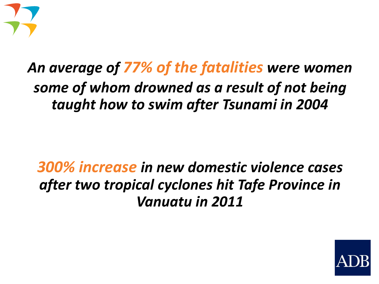

#### *An average of 77% of the fatalities were women some of whom drowned as a result of not being taught how to swim after Tsunami in 2004*

#### *300% increase in new domestic violence cases after two tropical cyclones hit Tafe Province in Vanuatu in 2011*

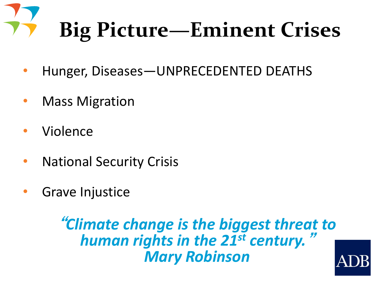# **Big Picture—Eminent Crises**

- Hunger, Diseases—UNPRECEDENTED DEATHS
- **Mass Migration**
- **Violence**
- **National Security Crisis**
- Grave Injustice

**"***Climate change is the biggest threat to human rights in the 21st century.***"** *Mary Robinson*

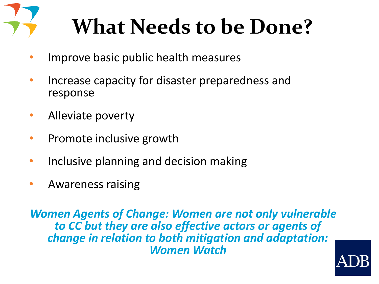

## **What Needs to be Done?**

- Improve basic public health measures
- Increase capacity for disaster preparedness and response
- Alleviate poverty
- Promote inclusive growth
- Inclusive planning and decision making
- Awareness raising

*Women Agents of Change: Women are not only vulnerable to CC but they are also effective actors or agents of change in relation to both mitigation and adaptation: Women Watch*

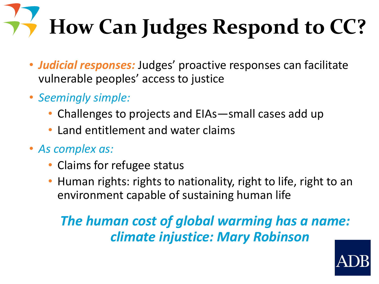# **How Can Judges Respond to CC?**

- *Judicial responses:* Judges' proactive responses can facilitate vulnerable peoples' access to justice
- *Seemingly simple:*
	- Challenges to projects and EIAs—small cases add up
	- Land entitlement and water claims
- *As complex as:*
	- Claims for refugee status
	- Human rights: rights to nationality, right to life, right to an environment capable of sustaining human life

#### *The human cost of global warming has a name: climate injustice: Mary Robinson*

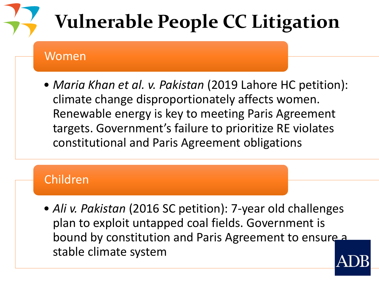### **Vulnerable People CC Litigation**

#### Women

• *Maria Khan et al. v. Pakistan* (2019 Lahore HC petition): climate change disproportionately affects women. Renewable energy is key to meeting Paris Agreement targets. Government's failure to prioritize RE violates constitutional and Paris Agreement obligations

#### Children

• *Ali v. Pakistan* (2016 SC petition): 7-year old challenges plan to exploit untapped coal fields. Government is bound by constitution and Paris Agreement to ensure a stable climate system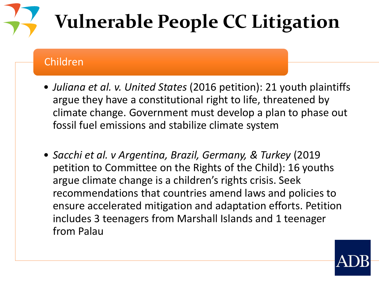### **Vulnerable People CC Litigation**

#### Children

- *Juliana et al. v. United States* (2016 petition): 21 youth plaintiffs argue they have a constitutional right to life, threatened by climate change. Government must develop a plan to phase out fossil fuel emissions and stabilize climate system
- *Sacchi et al. v Argentina, Brazil, Germany, & Turkey* (2019 petition to Committee on the Rights of the Child): 16 youths argue climate change is a children's rights crisis. Seek recommendations that countries amend laws and policies to ensure accelerated mitigation and adaptation efforts. Petition includes 3 teenagers from Marshall Islands and 1 teenager from Palau

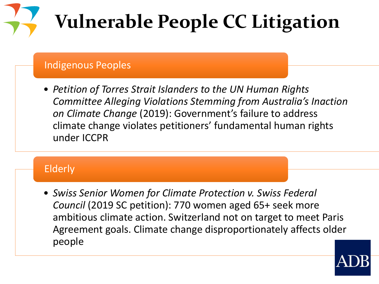## **Vulnerable People CC Litigation**

#### Indigenous Peoples

• *Petition of Torres Strait Islanders to the UN Human Rights Committee Alleging Violations Stemming from Australia's Inaction on Climate Change* (2019): Government's failure to address climate change violates petitioners' fundamental human rights under ICCPR

#### Elderly

• *Swiss Senior Women for Climate Protection v. Swiss Federal Council* (2019 SC petition): 770 women aged 65+ seek more ambitious climate action. Switzerland not on target to meet Paris Agreement goals. Climate change disproportionately affects older people

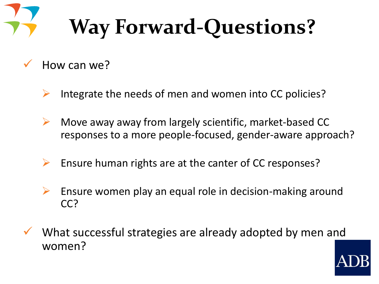## **Way Forward-Questions?**

- How can we?
	- $\triangleright$  Integrate the needs of men and women into CC policies?
	- $\triangleright$  Move away away from largely scientific, market-based CC responses to a more people-focused, gender-aware approach?
	- Ensure human rights are at the canter of CC responses?
	- $\triangleright$  Ensure women play an equal role in decision-making around CC?
- What successful strategies are already adopted by men and women?